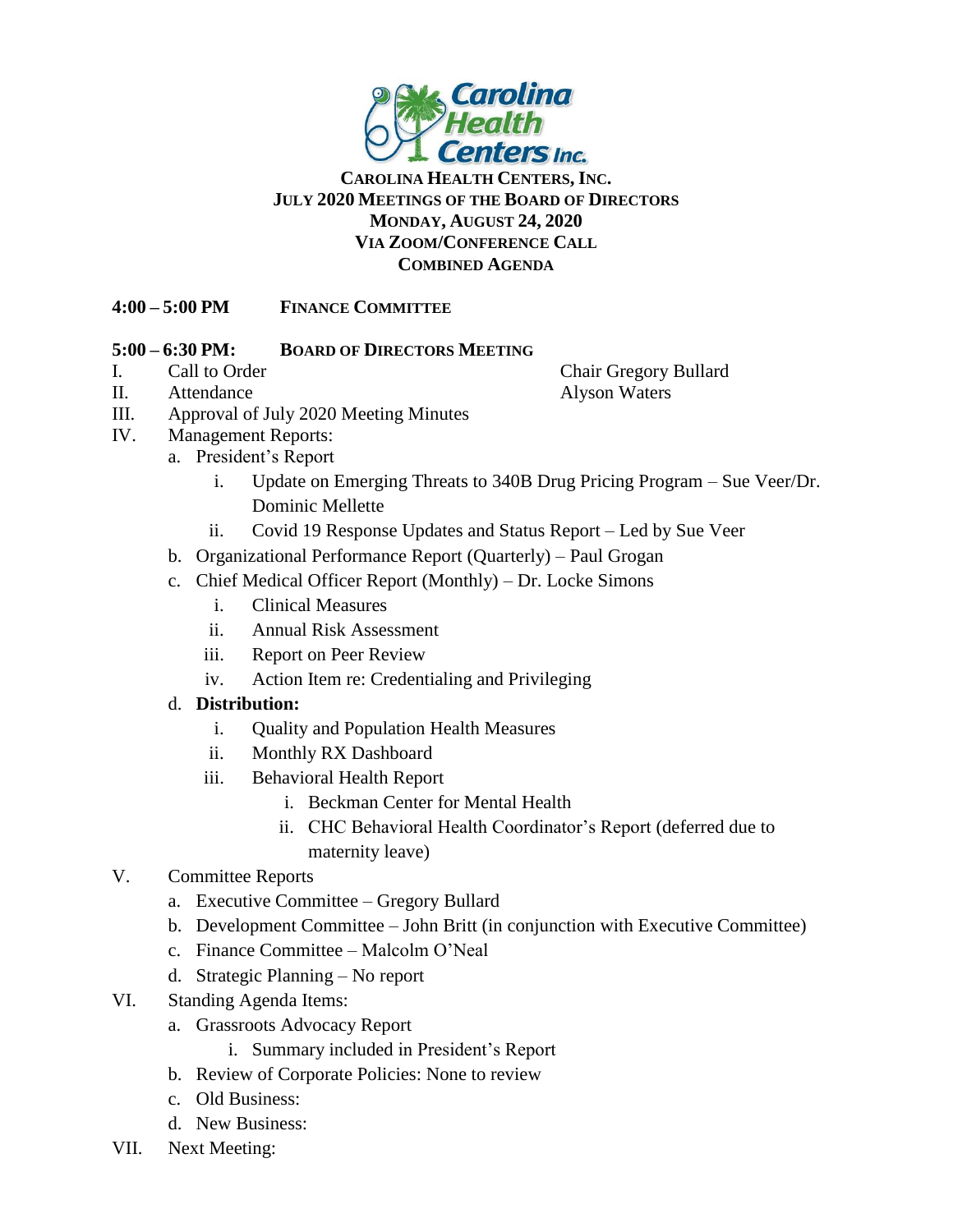

## **CAROLINA HEALTH CENTERS, INC. JULY 2020 MEETINGS OF THE BOARD OF DIRECTORS MONDAY, AUGUST 24, 2020 VIA ZOOM/CONFERENCE CALL COMBINED AGENDA**

## **4:00 – 5:00 PM FINANCE COMMITTEE**

#### **5:00 – 6:30 PM: BOARD OF DIRECTORS MEETING**

# II. Attendance Alyson Waters

- III. Approval of July 2020 Meeting Minutes
- IV. Management Reports:
	- a. President's Report
		- i. Update on Emerging Threats to 340B Drug Pricing Program Sue Veer/Dr. Dominic Mellette
		- ii. Covid 19 Response Updates and Status Report Led by Sue Veer
	- b. Organizational Performance Report (Quarterly) Paul Grogan
	- c. Chief Medical Officer Report (Monthly) Dr. Locke Simons
		- i. Clinical Measures
		- ii. Annual Risk Assessment
		- iii. Report on Peer Review
		- iv. Action Item re: Credentialing and Privileging
	- d. **Distribution:**
		- i. Quality and Population Health Measures
		- ii. Monthly RX Dashboard
		- iii. Behavioral Health Report
			- i. Beckman Center for Mental Health
			- ii. CHC Behavioral Health Coordinator's Report (deferred due to maternity leave)

# V. Committee Reports

- a. Executive Committee Gregory Bullard
- b. Development Committee John Britt (in conjunction with Executive Committee)
- c. Finance Committee Malcolm O'Neal
- d. Strategic Planning No report
- VI. Standing Agenda Items:
	- a. Grassroots Advocacy Report
		- i. Summary included in President's Report
	- b. Review of Corporate Policies: None to review
	- c. Old Business:
	- d. New Business:
- VII. Next Meeting:

I. Call to Order Chair Gregory Bullard